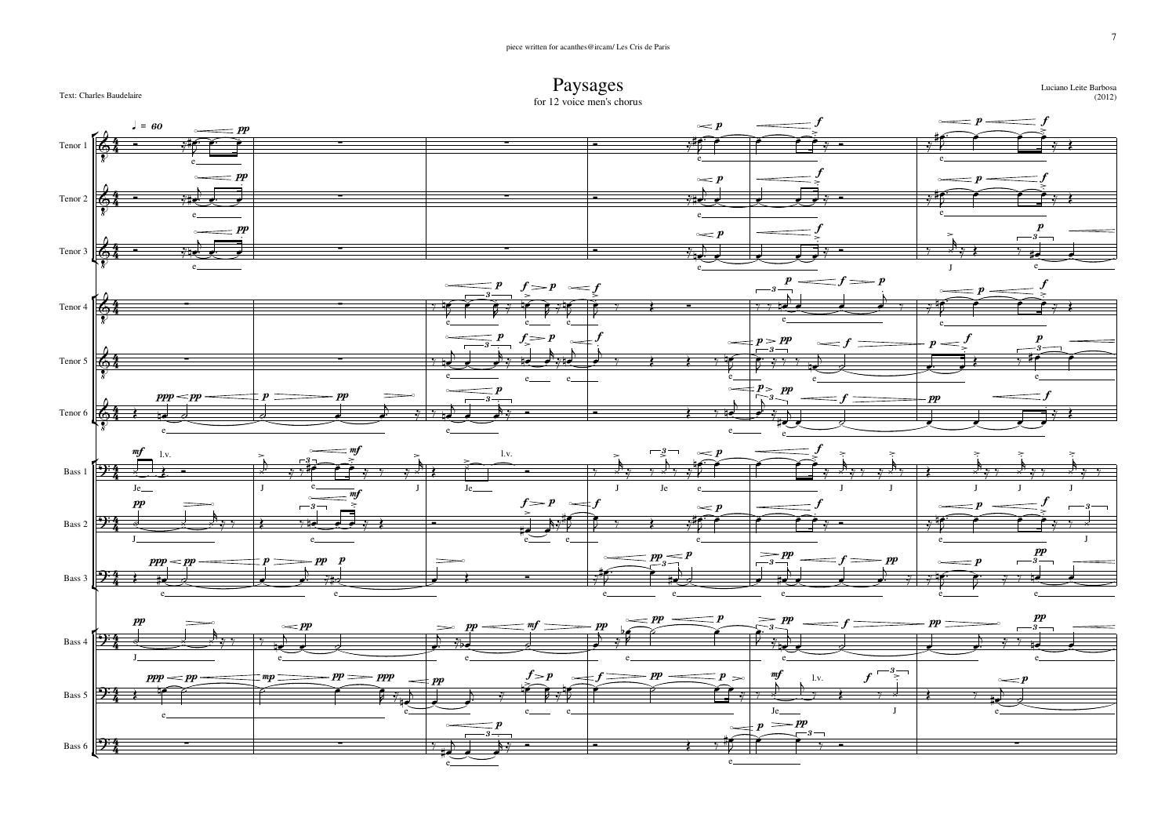



e

e

o

o

↸

(2012)

Luciano Leite Barbosa